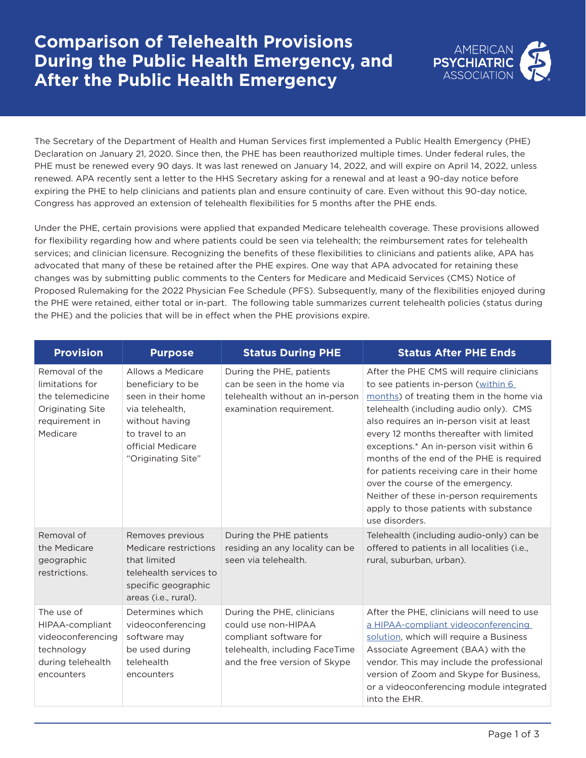## **Comparison of Telehealth Provisions During the Public Health Emergency, and After the Public Health Emergency**



The Secretary of the Department of Health and Human Services first implemented a Public Health Emergency (PHE) Declaration on January 21, 2020. Since then, the PHE has been reauthorized multiple times. Under federal rules, the PHE must be renewed every 90 days. It was last renewed on January 14, 2022, and will expire on April 14, 2022, unless renewed. APA recently sent a letter to the HHS Secretary asking for a renewal and at least a 90-day notice before expiring the PHE to help clinicians and patients plan and ensure continuity of care. Even without this 90-day notice, Congress has approved an extension of telehealth flexibilities for 5 months after the PHE ends.

Under the PHE, certain provisions were applied that expanded Medicare telehealth coverage. These provisions allowed for flexibility regarding how and where patients could be seen via telehealth; the reimbursement rates for telehealth services; and clinician licensure. Recognizing the benefits of these flexibilities to clinicians and patients alike, APA has advocated that many of these be retained after the PHE expires. One way that APA advocated for retaining these changes was by submitting public comments to the Centers for Medicare and Medicaid Services (CMS) Notice of Proposed Rulemaking for the 2022 Physician Fee Schedule (PFS). Subsequently, many of the flexibilities enjoyed during the PHE were retained, either total or in-part. The following table summarizes current telehealth policies (status during the PHE) and the policies that will be in effect when the PHE provisions expire.

| <b>Provision</b>                                                                                               | <b>Purpose</b>                                                                                                                                                  | <b>Status During PHE</b>                                                                                                                       | <b>Status After PHE Ends</b>                                                                                                                                                                                                                                                                                                                                                                                                                                                                                                                    |
|----------------------------------------------------------------------------------------------------------------|-----------------------------------------------------------------------------------------------------------------------------------------------------------------|------------------------------------------------------------------------------------------------------------------------------------------------|-------------------------------------------------------------------------------------------------------------------------------------------------------------------------------------------------------------------------------------------------------------------------------------------------------------------------------------------------------------------------------------------------------------------------------------------------------------------------------------------------------------------------------------------------|
| Removal of the<br>limitations for<br>the telemedicine<br><b>Originating Site</b><br>requirement in<br>Medicare | Allows a Medicare<br>beneficiary to be<br>seen in their home<br>via telehealth,<br>without having<br>to travel to an<br>official Medicare<br>"Originating Site" | During the PHE, patients<br>can be seen in the home via<br>telehealth without an in-person<br>examination requirement.                         | After the PHE CMS will require clinicians<br>to see patients in-person (within 6<br>months) of treating them in the home via<br>telehealth (including audio only). CMS<br>also requires an in-person visit at least<br>every 12 months thereafter with limited<br>exceptions.* An in-person visit within 6<br>months of the end of the PHE is required<br>for patients receiving care in their home<br>over the course of the emergency.<br>Neither of these in-person requirements<br>apply to those patients with substance<br>use disorders. |
| Removal of<br>the Medicare<br>geographic<br>restrictions.                                                      | Removes previous<br>Medicare restrictions<br>that limited<br>telehealth services to<br>specific geographic<br>areas (i.e., rural).                              | During the PHE patients<br>residing an any locality can be<br>seen via telehealth.                                                             | Telehealth (including audio-only) can be<br>offered to patients in all localities (i.e.,<br>rural, suburban, urban).                                                                                                                                                                                                                                                                                                                                                                                                                            |
| The use of<br>HIPAA-compliant<br>videoconferencing<br>technology<br>during telehealth<br>encounters            | Determines which<br>videoconferencing<br>software may<br>be used during<br>telehealth<br>encounters                                                             | During the PHE, clinicians<br>could use non-HIPAA<br>compliant software for<br>telehealth, including FaceTime<br>and the free version of Skype | After the PHE, clinicians will need to use<br>a HIPAA-compliant videoconferencing<br>solution, which will require a Business<br>Associate Agreement (BAA) with the<br>vendor. This may include the professional<br>version of Zoom and Skype for Business,<br>or a videoconferencing module integrated<br>into the EHR.                                                                                                                                                                                                                         |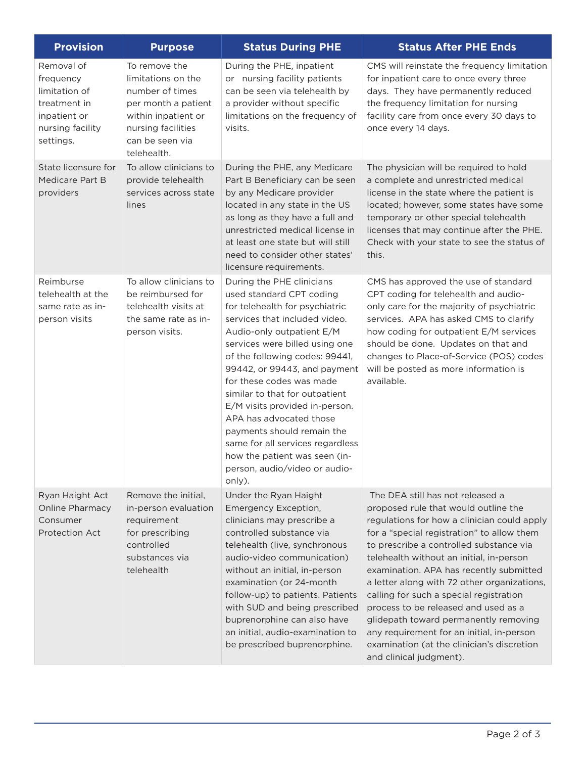| <b>Provision</b>                                                                                          | <b>Purpose</b>                                                                                                                                               | <b>Status During PHE</b>                                                                                                                                                                                                                                                                                                                                                                                                                                                                                                           | <b>Status After PHE Ends</b>                                                                                                                                                                                                                                                                                                                                                                                                                                                                                                                                                                             |
|-----------------------------------------------------------------------------------------------------------|--------------------------------------------------------------------------------------------------------------------------------------------------------------|------------------------------------------------------------------------------------------------------------------------------------------------------------------------------------------------------------------------------------------------------------------------------------------------------------------------------------------------------------------------------------------------------------------------------------------------------------------------------------------------------------------------------------|----------------------------------------------------------------------------------------------------------------------------------------------------------------------------------------------------------------------------------------------------------------------------------------------------------------------------------------------------------------------------------------------------------------------------------------------------------------------------------------------------------------------------------------------------------------------------------------------------------|
| Removal of<br>frequency<br>limitation of<br>treatment in<br>inpatient or<br>nursing facility<br>settings. | To remove the<br>limitations on the<br>number of times<br>per month a patient<br>within inpatient or<br>nursing facilities<br>can be seen via<br>telehealth. | During the PHE, inpatient<br>or nursing facility patients<br>can be seen via telehealth by<br>a provider without specific<br>limitations on the frequency of<br>visits.                                                                                                                                                                                                                                                                                                                                                            | CMS will reinstate the frequency limitation<br>for inpatient care to once every three<br>days. They have permanently reduced<br>the frequency limitation for nursing<br>facility care from once every 30 days to<br>once every 14 days.                                                                                                                                                                                                                                                                                                                                                                  |
| State licensure for<br>Medicare Part B<br>providers                                                       | To allow clinicians to<br>provide telehealth<br>services across state<br>lines                                                                               | During the PHE, any Medicare<br>Part B Beneficiary can be seen<br>by any Medicare provider<br>located in any state in the US<br>as long as they have a full and<br>unrestricted medical license in<br>at least one state but will still<br>need to consider other states'<br>licensure requirements.                                                                                                                                                                                                                               | The physician will be required to hold<br>a complete and unrestricted medical<br>license in the state where the patient is<br>located; however, some states have some<br>temporary or other special telehealth<br>licenses that may continue after the PHE.<br>Check with your state to see the status of<br>this.                                                                                                                                                                                                                                                                                       |
| Reimburse<br>telehealth at the<br>same rate as in-<br>person visits                                       | To allow clinicians to<br>be reimbursed for<br>telehealth visits at<br>the same rate as in-<br>person visits.                                                | During the PHE clinicians<br>used standard CPT coding<br>for telehealth for psychiatric<br>services that included video.<br>Audio-only outpatient E/M<br>services were billed using one<br>of the following codes: 99441,<br>99442, or 99443, and payment<br>for these codes was made<br>similar to that for outpatient<br>E/M visits provided in-person.<br>APA has advocated those<br>payments should remain the<br>same for all services regardless<br>how the patient was seen (in-<br>person, audio/video or audio-<br>only). | CMS has approved the use of standard<br>CPT coding for telehealth and audio-<br>only care for the majority of psychiatric<br>services. APA has asked CMS to clarify<br>how coding for outpatient E/M services<br>should be done. Updates on that and<br>changes to Place-of-Service (POS) codes<br>will be posted as more information is<br>available.                                                                                                                                                                                                                                                   |
| Ryan Haight Act<br><b>Online Pharmacy</b><br>Consumer<br><b>Protection Act</b>                            | Remove the initial,<br>in-person evaluation<br>requirement<br>for prescribing<br>controlled<br>substances via<br>telehealth                                  | Under the Ryan Haight<br>Emergency Exception,<br>clinicians may prescribe a<br>controlled substance via<br>telehealth (live, synchronous<br>audio-video communication)<br>without an initial, in-person<br>examination (or 24-month<br>follow-up) to patients. Patients<br>with SUD and being prescribed<br>buprenorphine can also have<br>an initial, audio-examination to<br>be prescribed buprenorphine.                                                                                                                        | The DEA still has not released a<br>proposed rule that would outline the<br>regulations for how a clinician could apply<br>for a "special registration" to allow them<br>to prescribe a controlled substance via<br>telehealth without an initial, in-person<br>examination. APA has recently submitted<br>a letter along with 72 other organizations,<br>calling for such a special registration<br>process to be released and used as a<br>glidepath toward permanently removing<br>any requirement for an initial, in-person<br>examination (at the clinician's discretion<br>and clinical judgment). |